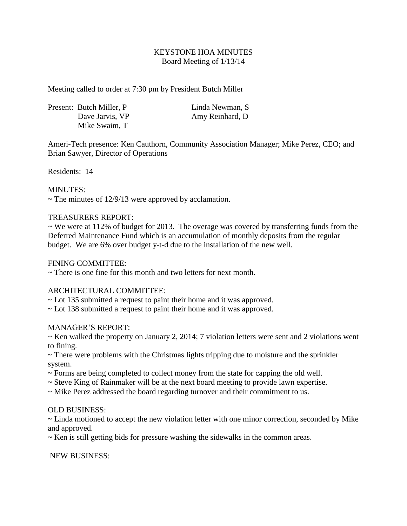# KEYSTONE HOA MINUTES Board Meeting of 1/13/14

Meeting called to order at 7:30 pm by President Butch Miller

|  | Present: Butch Miller, P. | Linda Newman, S. |
|--|---------------------------|------------------|
|  | Dave Jarvis, VP           | Amy Reinhard, D  |
|  | Mike Swaim, T             |                  |

Ameri-Tech presence: Ken Cauthorn, Community Association Manager; Mike Perez, CEO; and Brian Sawyer, Director of Operations

Residents: 14

## MINUTES:

 $\sim$  The minutes of 12/9/13 were approved by acclamation.

## TREASURERS REPORT:

 $\sim$  We were at 112% of budget for 2013. The overage was covered by transferring funds from the Deferred Maintenance Fund which is an accumulation of monthly deposits from the regular budget. We are 6% over budget y-t-d due to the installation of the new well.

## FINING COMMITTEE:

 $\sim$  There is one fine for this month and two letters for next month.

## ARCHITECTURAL COMMITTEE:

~ Lot 135 submitted a request to paint their home and it was approved.

~ Lot 138 submitted a request to paint their home and it was approved.

## MANAGER'S REPORT:

 $\sim$  Ken walked the property on January 2, 2014; 7 violation letters were sent and 2 violations went to fining.

~ There were problems with the Christmas lights tripping due to moisture and the sprinkler system.

- $\sim$  Forms are being completed to collect money from the state for capping the old well.
- ~ Steve King of Rainmaker will be at the next board meeting to provide lawn expertise.
- ~ Mike Perez addressed the board regarding turnover and their commitment to us.

## OLD BUSINESS:

~ Linda motioned to accept the new violation letter with one minor correction, seconded by Mike and approved.

~ Ken is still getting bids for pressure washing the sidewalks in the common areas.

NEW BUSINESS: